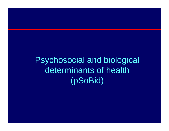Psychosocial and biological determinants of health (pSoBid)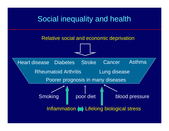## Social inequality and health

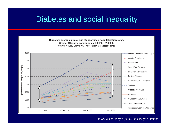## Diabetes and social inequality



#### Hanlon, Walsh, Whyte (2006) Let Glasgow Flourish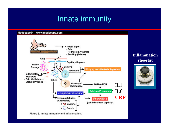## Innate immunity



Figure 8. Innate immunity and inflammation.

#### **Inflammation rheostat**

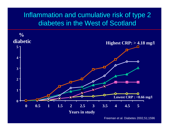### Inflammation and cumulative risk of type 2 diabetes in the West of Scotland



Freeman et al. Diabetes 2002,51;1596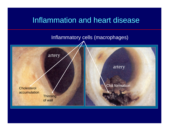## Inflammation and heart disease

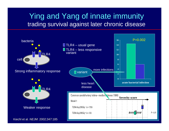## Ying and Yang of innate immunity trading survival against later chronic disease

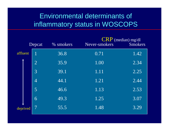## Environmental determinants of inflammatory status in WOSCOPS

| Depcat   |                | % smokers | Never-smokers | $CRP$ (median) mg/dl<br><b>Smokers</b> |
|----------|----------------|-----------|---------------|----------------------------------------|
| affluent |                | 36.8      | 0.71          | 1.42                                   |
|          | $\overline{2}$ | 35.9      | 1.00          | 2.34                                   |
|          | $\overline{3}$ | 39.1      | 1.11          | 2.25                                   |
|          | $\overline{4}$ | 44.1      | 1.21          | 2.44                                   |
|          | 5              | 46.6      | 1.13          | 2.53                                   |
|          | 6              | 49.3      | 1.25          | 3.07                                   |
| deprived |                | 55.5      | 1.48          | 3.29                                   |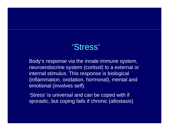# 'Stress'

Body's response via the innate immune system, neuroendocrine system (cortisol) to a external or internal stimulus. This response is biological (inflammation, oxidation, hormonal), mental and emotional (involves self).

'Stress' is universal and can be coped with if sporadic, but coping fails if chronic (allostasis)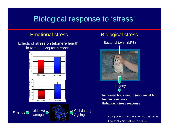## Biological response to 'stress'

#### Emotional stress

Effects of stress on telomere length in female long term carers





#### Biological stress

Bacterial toxin (LPS)



**Increased body weight (abdominal fat) Insulin resistanceEnhanced stress response**

> Epel et al. *PNAS* 2004;101:17312. Dahlgren et al. Am J Physiol 2001,281;E326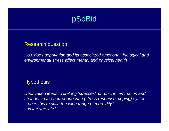

#### Research question

*How does deprivation and its associated emotional, biological and environmental stress affect mental and physical health ?*

#### **Hypothesis**

*Deprivation leads to lifelong 'stresses', chronic inflammation and changes in the neuroendocrine (stress response, coping) system – does this explain the wide range of morbidity? – is it reversible?*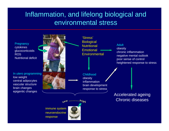## Inflammation, and lifelong biological and environmental stress

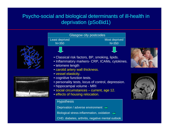### Psycho-social and biological determinants of ill-health in deprivation (pSoBid1)



**Hypothesis** 

Deprivation / adverse environment  $\implies$ 

Biological stress-inflammation, oxidation

CHD, diabetes, arthritis, negative mental outlook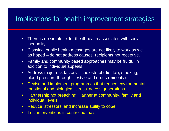## Implications for health improvement strategies

- • There is no simple fix for the ill-health associated with social inequality.
- $\bullet$  Classical public health messages are not likely to work as well as hoped – do not address causes, recipients not receptive.
- • Family and community based approaches may be fruitful in addition to individual appeals.
- $\bullet$  Address major risk factors – cholesterol (diet fat), smoking, blood pressure through lifestyle and drugs (minority).
- $\bullet$  Devise and implement programmes that reduce environmental, emotional and biological 'stress' across generations.
- $\bullet$  Partnership not preaching. Partner at community, family and individual levels.
- $\bullet$ Reduce 'stressors' and increase ability to cope.
- $\bullet$ Test interventions in controlled trials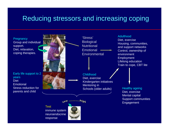## Reducing stressors and increasing coping



neuroendocrineresponse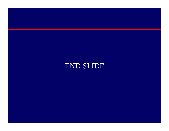## END SLIDE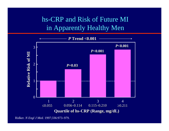## hs-CRP and Risk of Future MI in Apparently Healthy Men



Ridker. *N Engl J Med.* 1997;336:973–979.